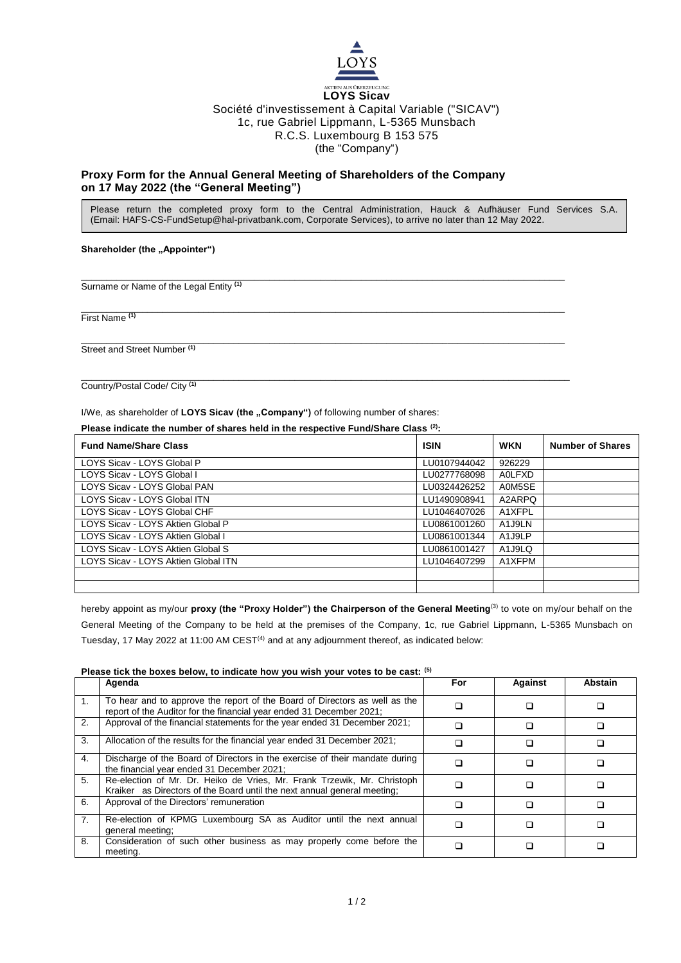

## **LOYS Sicav** Société d'investissement à Capital Variable ("SICAV") 1c, rue Gabriel Lippmann, L-5365 Munsbach R.C.S. Luxembourg B 153 575 (the "Company")

# **Proxy Form for the Annual General Meeting of Shareholders of the Company on 17 May 2022 (the "General Meeting")**

Please return the completed proxy form to the Central Administration, Hauck & Aufhäuser Fund Services S.A. (Email: HAFS-CS-FundSetup@hal-privatbank.com, Corporate Services), to arrive no later than 12 May 2022.

### **Shareholder (the "Appointer")**

\_\_\_\_\_\_\_\_\_\_\_\_\_\_\_\_\_\_\_\_\_\_\_\_\_\_\_\_\_\_\_\_\_\_\_\_\_\_\_\_\_\_\_\_\_\_\_\_\_\_\_\_\_\_\_\_\_\_\_\_\_\_\_\_\_\_\_\_\_\_\_\_\_\_\_\_\_\_\_\_\_\_\_\_\_\_\_\_\_\_\_\_\_\_\_ Surname or Name of the Legal Entity **(1)**

\_\_\_\_\_\_\_\_\_\_\_\_\_\_\_\_\_\_\_\_\_\_\_\_\_\_\_\_\_\_\_\_\_\_\_\_\_\_\_\_\_\_\_\_\_\_\_\_\_\_\_\_\_\_\_\_\_\_\_\_\_\_\_\_\_\_\_\_\_\_\_\_\_\_\_\_\_\_\_\_\_\_\_\_\_\_\_\_\_\_\_\_\_\_\_ First Name **(1)**

\_\_\_\_\_\_\_\_\_\_\_\_\_\_\_\_\_\_\_\_\_\_\_\_\_\_\_\_\_\_\_\_\_\_\_\_\_\_\_\_\_\_\_\_\_\_\_\_\_\_\_\_\_\_\_\_\_\_\_\_\_\_\_\_\_\_\_\_\_\_\_\_\_\_\_\_\_\_\_\_\_\_\_\_\_\_\_\_\_\_\_\_\_\_\_ Street and Street Number **(1)**

\_\_\_\_\_\_\_\_\_\_\_\_\_\_\_\_\_\_\_\_\_\_\_\_\_\_\_\_\_\_\_\_\_\_\_\_\_\_\_\_\_\_\_\_\_\_\_\_\_\_\_\_\_\_\_\_\_\_\_\_\_\_\_\_\_\_\_\_\_\_\_\_\_\_\_\_\_\_\_\_\_\_\_\_\_\_\_\_\_\_\_\_\_\_\_\_ Country/Postal Code/ City **(1)**

I/We, as shareholder of LOYS Sicav (the "Company") of following number of shares:

**Please indicate the number of shares held in the respective Fund/Share Class (2):**

| <b>Fund Name/Share Class</b>        | <b>ISIN</b>  | <b>WKN</b>          | <b>Number of Shares</b> |
|-------------------------------------|--------------|---------------------|-------------------------|
| LOYS Sicav - LOYS Global P          | LU0107944042 | 926229              |                         |
| LOYS Sicav - LOYS Global I          | LU0277768098 | <b>AOLFXD</b>       |                         |
| LOYS Sicav - LOYS Global PAN        | LU0324426252 | A0M5SE              |                         |
| LOYS Sicav - LOYS Global ITN        | LU1490908941 | A2ARPO              |                         |
| LOYS Sicav - LOYS Global CHF        | LU1046407026 | A1XFPL              |                         |
| LOYS Sicav - LOYS Aktien Global P   | LU0861001260 | A <sub>1</sub> J9LN |                         |
| LOYS Sicav - LOYS Aktien Global I   | LU0861001344 | A <sub>1</sub> J9LP |                         |
| LOYS Sicav - LOYS Aktien Global S   | LU0861001427 | A <sub>1</sub> J9LQ |                         |
| LOYS Sicav - LOYS Aktien Global ITN | LU1046407299 | A1XFPM              |                         |
|                                     |              |                     |                         |
|                                     |              |                     |                         |

hereby appoint as my/our proxy (the "Proxy Holder") the Chairperson of the General Meeting<sup>(3)</sup> to vote on my/our behalf on the General Meeting of the Company to be held at the premises of the Company, 1c, rue Gabriel Lippmann, L-5365 Munsbach on Tuesday, 17 May 2022 at 11:00 AM CEST<sup>(4)</sup> and at any adjournment thereof, as indicated below:

### **Please tick the boxes below, to indicate how you wish your votes to be cast: (5)**

|                | Agenda                                                                                                                                              | For | <b>Against</b> | <b>Abstain</b> |
|----------------|-----------------------------------------------------------------------------------------------------------------------------------------------------|-----|----------------|----------------|
| 1.             | To hear and to approve the report of the Board of Directors as well as the<br>report of the Auditor for the financial year ended 31 December 2021;  |     |                |                |
| 2.             | Approval of the financial statements for the year ended 31 December 2021;                                                                           |     |                |                |
| 3.             | Allocation of the results for the financial year ended 31 December 2021;                                                                            |     |                |                |
| 4.             | Discharge of the Board of Directors in the exercise of their mandate during<br>the financial year ended 31 December 2021;                           |     |                |                |
| 5.             | Re-election of Mr. Dr. Heiko de Vries, Mr. Frank Trzewik, Mr. Christoph<br>Kraiker as Directors of the Board until the next annual general meeting: |     |                |                |
| 6.             | Approval of the Directors' remuneration                                                                                                             |     |                |                |
| 7 <sub>1</sub> | Re-election of KPMG Luxembourg SA as Auditor until the next annual<br>general meeting;                                                              |     |                |                |
| 8.             | Consideration of such other business as may properly come before the<br>meeting.                                                                    |     |                |                |